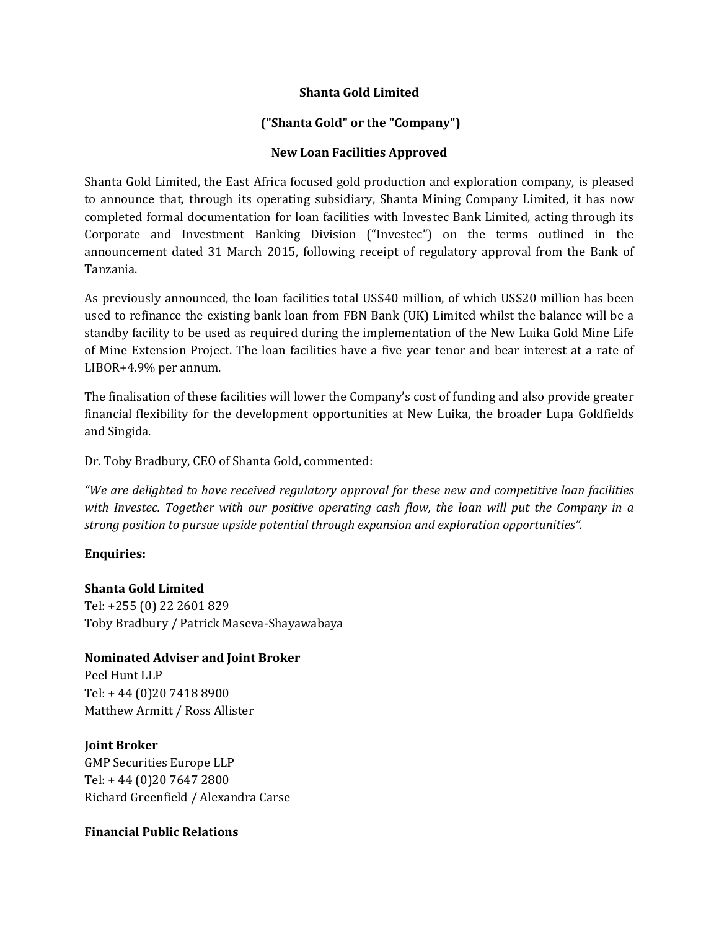# **Shanta Gold Limited**

# **("Shanta Gold" or the "Company")**

# **New Loan Facilities Approved**

Shanta Gold Limited, the East Africa focused gold production and exploration company, is pleased to announce that, through its operating subsidiary, Shanta Mining Company Limited, it has now completed formal documentation for loan facilities with Investec Bank Limited, acting through its Corporate and Investment Banking Division ("Investec") on the terms outlined in the announcement dated 31 March 2015, following receipt of regulatory approval from the Bank of Tanzania.

As previously announced, the loan facilities total US\$40 million, of which US\$20 million has been used to refinance the existing bank loan from FBN Bank (UK) Limited whilst the balance will be a standby facility to be used as required during the implementation of the New Luika Gold Mine Life of Mine Extension Project. The loan facilities have a five year tenor and bear interest at a rate of LIBOR+4.9% per annum.

The finalisation of these facilities will lower the Company's cost of funding and also provide greater financial flexibility for the development opportunities at New Luika, the broader Lupa Goldfields and Singida.

Dr. Toby Bradbury, CEO of Shanta Gold, commented:

*"We are delighted to have received regulatory approval for these new and competitive loan facilities with Investec. Together with our positive operating cash flow, the loan will put the Company in a strong position to pursue upside potential through expansion and exploration opportunities".*

### **Enquiries:**

### **Shanta Gold Limited**

Tel: +255 (0) 22 2601 829 Toby Bradbury / Patrick Maseva-Shayawabaya

### **Nominated Adviser and Joint Broker**

Peel Hunt LLP Tel: + 44 (0)20 7418 8900 Matthew Armitt / Ross Allister

### **Joint Broker**

GMP Securities Europe LLP Tel: + 44 (0)20 7647 2800 Richard Greenfield / Alexandra Carse

### **Financial Public Relations**